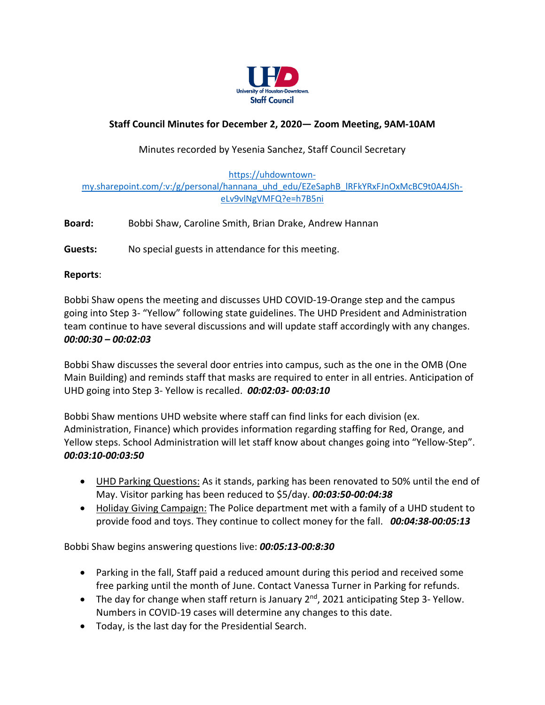

# **Staff Council Minutes for December 2, 2020— Zoom Meeting, 9AM-10AM**

## Minutes recorded by Yesenia Sanchez, Staff Council Secretary

#### [https://uhdowntown](https://uhdowntown-my.sharepoint.com/:v:/g/personal/hannana_uhd_edu/EZeSaphB_lRFkYRxFJnOxMcBC9t0A4JSh-eLv9vlNgVMFQ?e=h7B5ni)[my.sharepoint.com/:v:/g/personal/hannana\\_uhd\\_edu/EZeSaphB\\_lRFkYRxFJnOxMcBC9t0A4JSh](https://uhdowntown-my.sharepoint.com/:v:/g/personal/hannana_uhd_edu/EZeSaphB_lRFkYRxFJnOxMcBC9t0A4JSh-eLv9vlNgVMFQ?e=h7B5ni)[eLv9vlNgVMFQ?e=h7B5ni](https://uhdowntown-my.sharepoint.com/:v:/g/personal/hannana_uhd_edu/EZeSaphB_lRFkYRxFJnOxMcBC9t0A4JSh-eLv9vlNgVMFQ?e=h7B5ni)

**Board:** Bobbi Shaw, Caroline Smith, Brian Drake, Andrew Hannan

**Guests:** No special guests in attendance for this meeting.

### **Reports**:

Bobbi Shaw opens the meeting and discusses UHD COVID-19-Orange step and the campus going into Step 3- "Yellow" following state guidelines. The UHD President and Administration team continue to have several discussions and will update staff accordingly with any changes. *00:00:30 – 00:02:03*

Bobbi Shaw discusses the several door entries into campus, such as the one in the OMB (One Main Building) and reminds staff that masks are required to enter in all entries. Anticipation of UHD going into Step 3- Yellow is recalled. *00:02:03- 00:03:10*

Bobbi Shaw mentions UHD website where staff can find links for each division (ex. Administration, Finance) which provides information regarding staffing for Red, Orange, and Yellow steps. School Administration will let staff know about changes going into "Yellow-Step". *00:03:10-00:03:50*

- UHD Parking Questions: As it stands, parking has been renovated to 50% until the end of May. Visitor parking has been reduced to \$5/day. *00:03:50-00:04:38*
- Holiday Giving Campaign: The Police department met with a family of a UHD student to provide food and toys. They continue to collect money for the fall. *00:04:38-00:05:13*

Bobbi Shaw begins answering questions live: *00:05:13-00:8:30*

- Parking in the fall, Staff paid a reduced amount during this period and received some free parking until the month of June. Contact Vanessa Turner in Parking for refunds.
- The day for change when staff return is January  $2^{nd}$ , 2021 anticipating Step 3-Yellow. Numbers in COVID-19 cases will determine any changes to this date.
- Today, is the last day for the Presidential Search.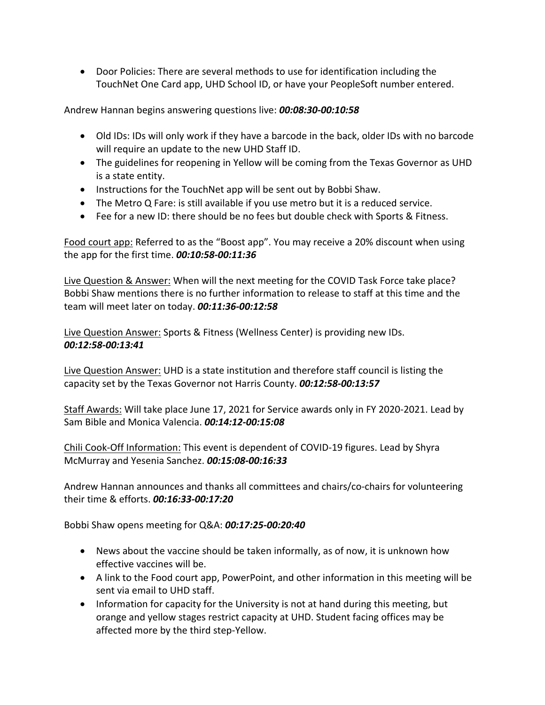Door Policies: There are several methods to use for identification including the TouchNet One Card app, UHD School ID, or have your PeopleSoft number entered.

Andrew Hannan begins answering questions live: *00:08:30-00:10:58*

- Old IDs: IDs will only work if they have a barcode in the back, older IDs with no barcode will require an update to the new UHD Staff ID.
- The guidelines for reopening in Yellow will be coming from the Texas Governor as UHD is a state entity.
- Instructions for the TouchNet app will be sent out by Bobbi Shaw.
- The Metro Q Fare: is still available if you use metro but it is a reduced service.
- Fee for a new ID: there should be no fees but double check with Sports & Fitness.

Food court app: Referred to as the "Boost app". You may receive a 20% discount when using the app for the first time. *00:10:58-00:11:36*

Live Question & Answer: When will the next meeting for the COVID Task Force take place? Bobbi Shaw mentions there is no further information to release to staff at this time and the team will meet later on today. *00:11:36-00:12:58*

Live Question Answer: Sports & Fitness (Wellness Center) is providing new IDs. *00:12:58-00:13:41*

Live Question Answer: UHD is a state institution and therefore staff council is listing the capacity set by the Texas Governor not Harris County. *00:12:58-00:13:57*

Staff Awards: Will take place June 17, 2021 for Service awards only in FY 2020-2021. Lead by Sam Bible and Monica Valencia. *00:14:12-00:15:08*

Chili Cook-Off Information: This event is dependent of COVID-19 figures. Lead by Shyra McMurray and Yesenia Sanchez. *00:15:08-00:16:33*

Andrew Hannan announces and thanks all committees and chairs/co-chairs for volunteering their time & efforts. *00:16:33-00:17:20*

Bobbi Shaw opens meeting for Q&A: *00:17:25-00:20:40*

- News about the vaccine should be taken informally, as of now, it is unknown how effective vaccines will be.
- A link to the Food court app, PowerPoint, and other information in this meeting will be sent via email to UHD staff.
- Information for capacity for the University is not at hand during this meeting, but orange and yellow stages restrict capacity at UHD. Student facing offices may be affected more by the third step-Yellow.